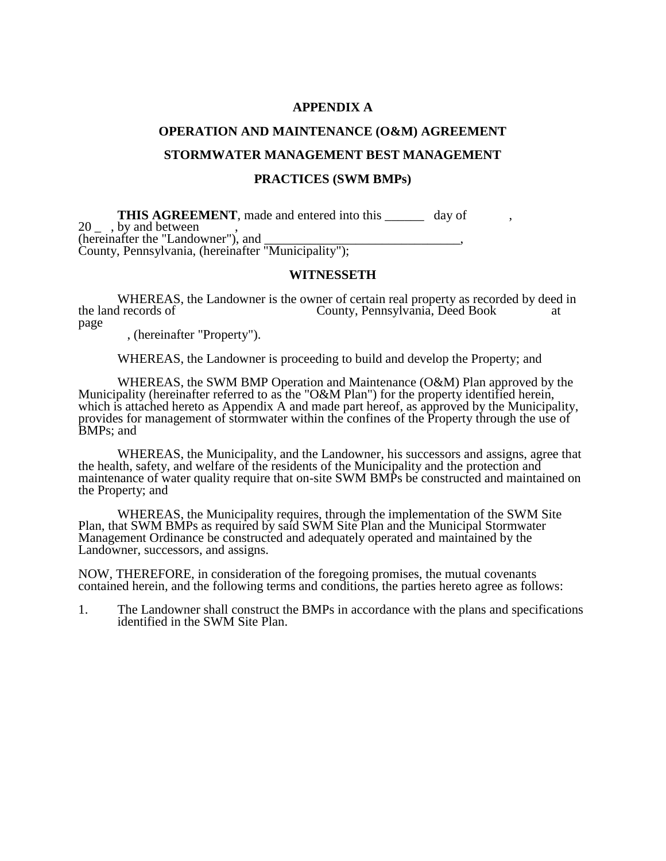### **APPENDIX A**

### **OPERATION AND MAINTENANCE (O&M) AGREEMENT**

#### **STORMWATER MANAGEMENT BEST MANAGEMENT**

### **PRACTICES (SWM BMPs)**

**THIS AGREEMENT**, made and entered into this day of 20 <sub>-</sub> , by and between (hereinafter the "Landowner"), and \_\_\_\_\_\_\_\_\_\_\_\_\_\_\_\_\_\_\_\_\_\_\_\_\_\_\_\_\_\_\_\_\_, County, Pennsylvania, (hereinafter "Municipality");

### **WITNESSETH**

WHEREAS, the Landowner is the owner of certain real property as recorded by deed in the land records of County, Pennsylvania, Deed Book at County, Pennsylvania, Deed Book at page

, (hereinafter "Property").

WHEREAS, the Landowner is proceeding to build and develop the Property; and

WHEREAS, the SWM BMP Operation and Maintenance (O&M) Plan approved by the Municipality (hereinafter referred to as the "O&M Plan") for the property identified herein, which is attached hereto as Appendix A and made part hereof, as approved by the Municipality, provides for management of stormwater within the confines of the Property through the use of BMPs; and

WHEREAS, the Municipality, and the Landowner, his successors and assigns, agree that the health, safety, and welfare of the residents of the Municipality and the protection and maintenance of water quality require that on-site SWM BMPs be constructed and maintained on the Property; and

WHEREAS, the Municipality requires, through the implementation of the SWM Site Plan, that SWM BMPs as required by said SWM Site Plan and the Municipal Stormwater Management Ordinance be constructed and adequately operated and maintained by the Landowner, successors, and assigns.

NOW, THEREFORE, in consideration of the foregoing promises, the mutual covenants contained herein, and the following terms and conditions, the parties hereto agree as follows:

1. The Landowner shall construct the BMPs in accordance with the plans and specifications identified in the SWM Site Plan.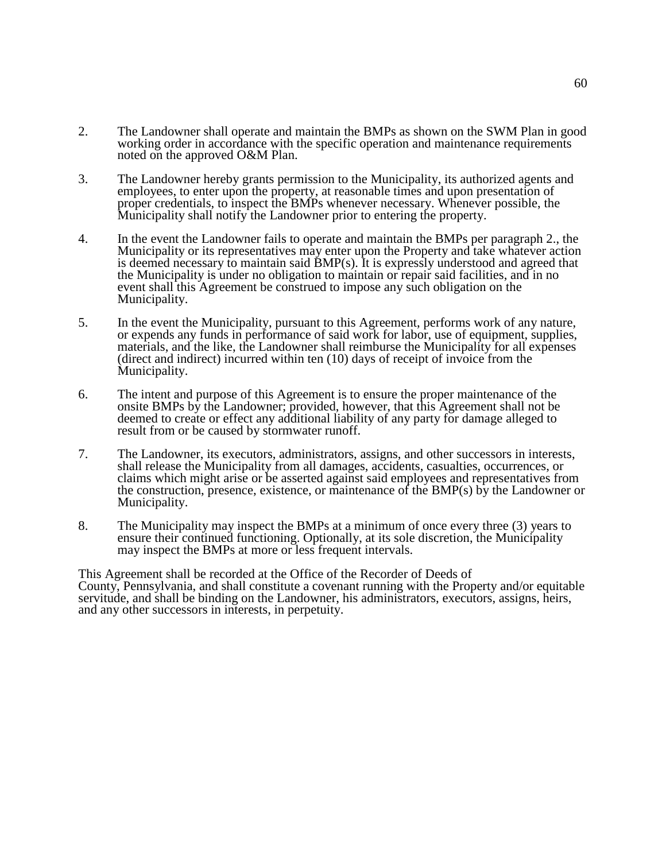- 2. The Landowner shall operate and maintain the BMPs as shown on the SWM Plan in good working order in accordance with the specific operation and maintenance requirements noted on the approved O&M Plan.
- 3. The Landowner hereby grants permission to the Municipality, its authorized agents and employees, to enter upon the property, at reasonable times and upon presentation of proper credentials, to inspect the BMPs whenever necessary. Whenever possible, the Municipality shall notify the Landowner prior to entering the property.
- 4. In the event the Landowner fails to operate and maintain the BMPs per paragraph 2., the Municipality or its representatives may enter upon the Property and take whatever action is deemed necessary to maintain said BMP(s). It is expressly understood and agreed that the Municipality is under no obligation to maintain or repair said facilities, and in no event shall this Agreement be construed to impose any such obligation on the Municipality.
- 5. In the event the Municipality, pursuant to this Agreement, performs work of any nature, or expends any funds in performance of said work for labor, use of equipment, supplies, materials, and the like, the Landowner shall reimburse the Municipality for all expenses (direct and indirect) incurred within ten (10) days of receipt of invoice from the Municipality.
- 6. The intent and purpose of this Agreement is to ensure the proper maintenance of the onsite BMPs by the Landowner; provided, however, that this Agreement shall not be deemed to create or effect any additional liability of any party for damage alleged to result from or be caused by stormwater runoff.
- 7. The Landowner, its executors, administrators, assigns, and other successors in interests, shall release the Municipality from all damages, accidents, casualties, occurrences, or claims which might arise or be asserted against said employees and representatives from the construction, presence, existence, or maintenance of the BMP(s) by the Landowner or Municipality.
- 8. The Municipality may inspect the BMPs at a minimum of once every three (3) years to ensure their continued functioning. Optionally, at its sole discretion, the Municipality may inspect the BMPs at more or less frequent intervals.

This Agreement shall be recorded at the Office of the Recorder of Deeds of County, Pennsylvania, and shall constitute a covenant running with the Property and/or equitable servitude, and shall be binding on the Landowner, his administrators, executors, assigns, heirs, and any other successors in interests, in perpetuity.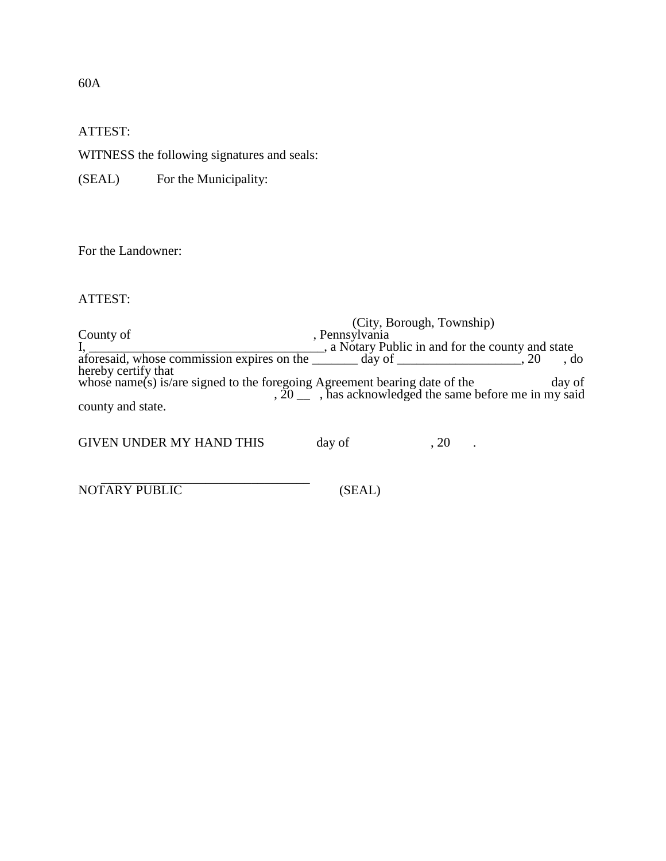ATTEST:

WITNESS the following signatures and seals:

(SEAL) For the Municipality:

For the Landowner:

ATTEST:

(City, Borough, Township) County of the county of the county of the set of the country of the country of the country of the country of the country of the country of the country of the country of the country of the country of the country of the coun I, \_\_\_\_\_\_\_\_\_\_\_\_\_\_\_\_\_\_\_\_\_\_\_\_\_\_\_\_\_\_\_\_\_\_\_\_, a Notary Public in and for the county and state aforesaid, whose commission expires on the  $\frac{1}{2}$  day of  $\frac{1}{2}$ , 20, do hereby certify that whose name(s) is/are signed to the foregoing Agreement bearing date of the day of ,  $20 \, \degree$  , has acknowledged the same before me in my said county and state.

GIVEN UNDER MY HAND THIS day of , 20 .

 $\frac{1}{2}$  ,  $\frac{1}{2}$  ,  $\frac{1}{2}$  ,  $\frac{1}{2}$  ,  $\frac{1}{2}$  ,  $\frac{1}{2}$  ,  $\frac{1}{2}$  ,  $\frac{1}{2}$  ,  $\frac{1}{2}$  ,  $\frac{1}{2}$  ,  $\frac{1}{2}$  ,  $\frac{1}{2}$  ,  $\frac{1}{2}$  ,  $\frac{1}{2}$  ,  $\frac{1}{2}$  ,  $\frac{1}{2}$  ,  $\frac{1}{2}$  ,  $\frac{1}{2}$  ,  $\frac{1$ NOTARY PUBLIC (SEAL)

60A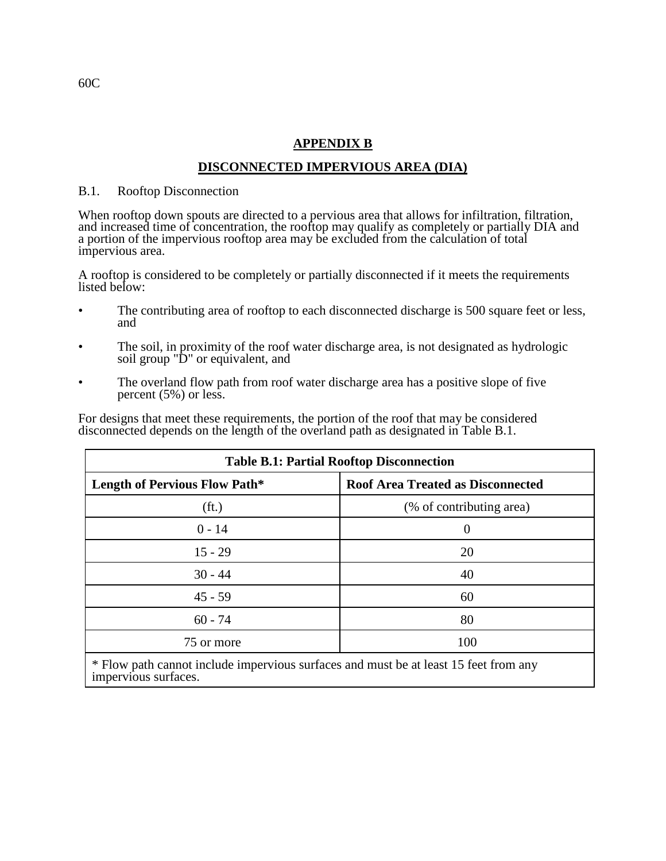# **APPENDIX B**

# **DISCONNECTED IMPERVIOUS AREA (DIA)**

# B.1. Rooftop Disconnection

When rooftop down spouts are directed to a pervious area that allows for infiltration, filtration, and increased time of concentration, the rooftop may qualify as completely or partially DIA and a portion of the impervious rooftop area may be excluded from the calculation of total impervious area.

A rooftop is considered to be completely or partially disconnected if it meets the requirements listed below:

- The contributing area of rooftop to each disconnected discharge is 500 square feet or less, and
- The soil, in proximity of the roof water discharge area, is not designated as hydrologic soil group "D" or equivalent, and
- The overland flow path from roof water discharge area has a positive slope of five percent (5%) or less.

For designs that meet these requirements, the portion of the roof that may be considered disconnected depends on the length of the overland path as designated in Table B.1.

| <b>Table B.1: Partial Rooftop Disconnection</b> |                                          |
|-------------------------------------------------|------------------------------------------|
| <b>Length of Pervious Flow Path*</b>            | <b>Roof Area Treated as Disconnected</b> |
| (f <sub>t</sub> )                               | (% of contributing area)                 |
| $0 - 14$                                        | $\theta$                                 |
| $15 - 29$                                       | 20                                       |
| $30 - 44$                                       | 40                                       |
| $45 - 59$                                       | 60                                       |
| $60 - 74$                                       | 80                                       |
| 75 or more                                      | 100                                      |
|                                                 |                                          |

\* Flow path cannot include impervious surfaces and must be at least 15 feet from any impervious surfaces.

60C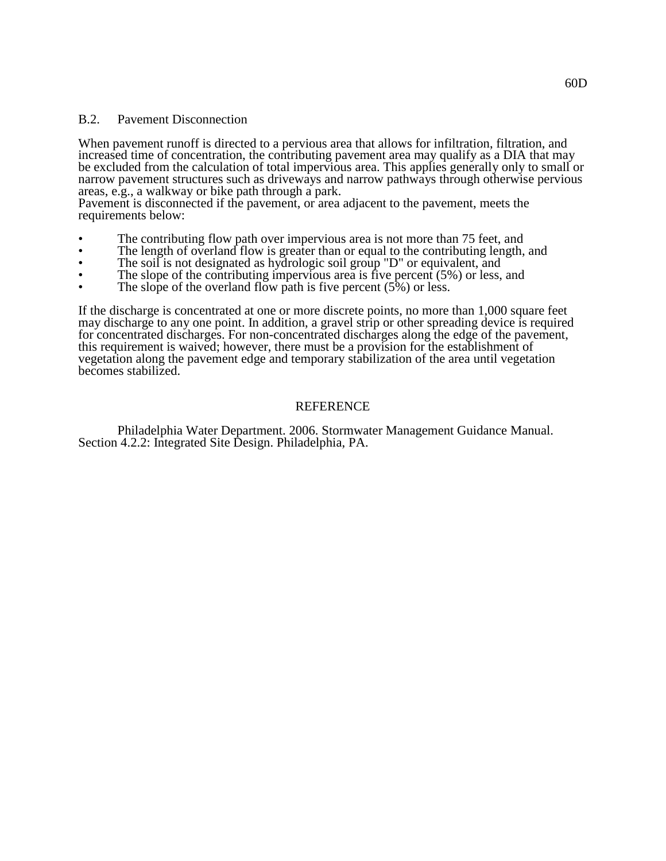### B.2. Pavement Disconnection

When pavement runoff is directed to a pervious area that allows for infiltration, filtration, and increased time of concentration, the contributing pavement area may qualify as a DIA that may be excluded from the calculation of total impervious area. This applies generally only to small or narrow pavement structures such as driveways and narrow pathways through otherwise pervious areas, e.g., a walkway or bike path through a park.

Pavement is disconnected if the pavement, or area adjacent to the pavement, meets the requirements below:

- The contributing flow path over impervious area is not more than 75 feet, and
- The length of overland flow is greater than or equal to the contributing length, and
- The soil is not designated as hydrologic soil group "D" or equivalent, and
- The slope of the contributing impervious area is five percent (5%) or less, and
- The slope of the overland flow path is five percent  $(5\%)$  or less.

If the discharge is concentrated at one or more discrete points, no more than 1,000 square feet may discharge to any one point. In addition, a gravel strip or other spreading device is required for concentrated discharges. For non-concentrated discharges along the edge of the pavement, this requirement is waived; however, there must be a provision for the establishment of vegetation along the pavement edge and temporary stabilization of the area until vegetation becomes stabilized.

# REFERENCE

Philadelphia Water Department. 2006. Stormwater Management Guidance Manual. Section 4.2.2: Integrated Site Design. Philadelphia, PA.